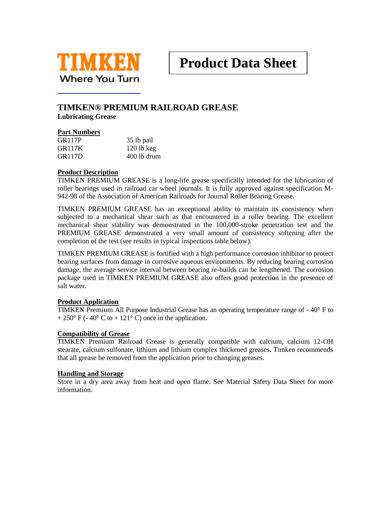

# **TIMKEN® PREMIUM RAILROAD GREASE**

**Lubricating Grease**

#### **Part Numbers**

| <b>GR117P</b> | 35 lb pail   |
|---------------|--------------|
| GR117K        | $120$ lb keg |
| GR117D        | 400 lb drum  |

#### **Product Description**

TIMKEN PREMIUM GREASE is a long-life grease specifically intended for the lubrication of roller bearings used in railroad car wheel journals. It is fully approved against specification M-942-98 of the Association of American Railroads for Journal Roller Bearing Grease.

TIMKEN PREMIUM GREASE has an exceptional ability to maintain its consistency when subjected to a mechanical shear such as that encountered in a roller bearing. The excellent mechanical shear stability was demonstrated in the 100,000-stroke penetration test and the PREMIUM GREASE demonstrated a very small amount of consistency softening after the completion of the test (see results in typical inspections table below).

TIMKEN PREMIUM GREASE is fortified with a high performance corrosion inhibitor to protect bearing surfaces from damage in corrosive aqueous environments. By reducing bearing corrosion damage, the average service interval between bearing re-builds can be lengthened. The corrosion package used in TIMKEN PREMIUM GREASE also offers good protection in the presence of salt water.

#### **Product Application**

TIMKEN Premium All Purpose Industrial Grease has an operating temperature range of  $-40^{\circ}$  F to  $+ 250^{\circ}$  F (-40° C to +121° C) once in the application.

#### **Compatibility of Grease**

TIMKEN Premium Railroad Grease is generally compatible with calcium, calcium 12-OH stearate, calcium sulfonate, lithium and lithium complex thickened greases. Timken recommends that all grease be removed from the application prior to changing greases.

#### **Handling and Storage**

Store in a dry area away from heat and open flame. See Material Safety Data Sheet for more information.